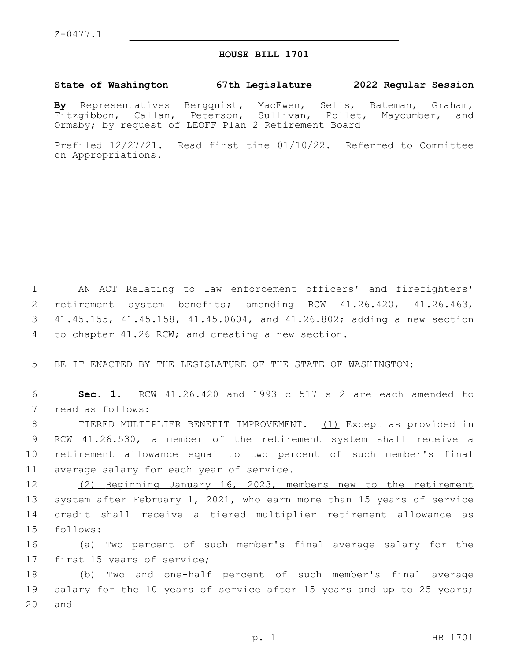## **HOUSE BILL 1701**

## **State of Washington 67th Legislature 2022 Regular Session**

**By** Representatives Bergquist, MacEwen, Sells, Bateman, Graham, Fitzgibbon, Callan, Peterson, Sullivan, Pollet, Maycumber, and Ormsby; by request of LEOFF Plan 2 Retirement Board

Prefiled 12/27/21. Read first time 01/10/22. Referred to Committee on Appropriations.

 AN ACT Relating to law enforcement officers' and firefighters' retirement system benefits; amending RCW 41.26.420, 41.26.463, 41.45.155, 41.45.158, 41.45.0604, and 41.26.802; adding a new section 4 to chapter 41.26 RCW; and creating a new section.

5 BE IT ENACTED BY THE LEGISLATURE OF THE STATE OF WASHINGTON:

6 **Sec. 1.** RCW 41.26.420 and 1993 c 517 s 2 are each amended to 7 read as follows:

 TIERED MULTIPLIER BENEFIT IMPROVEMENT. (1) Except as provided in RCW 41.26.530, a member of the retirement system shall receive a retirement allowance equal to two percent of such member's final 11 average salary for each year of service.

 (2) Beginning January 16, 2023, members new to the retirement system after February 1, 2021, who earn more than 15 years of service credit shall receive a tiered multiplier retirement allowance as 15 follows:

16 (a) Two percent of such member's final average salary for the 17 first 15 years of service;

18 (b) Two and one-half percent of such member's final average 19 salary for the 10 years of service after 15 years and up to 25 years; 20 and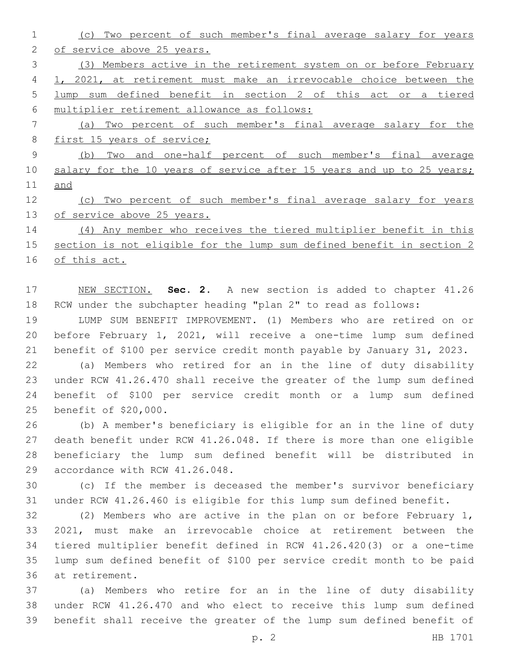(c) Two percent of such member's final average salary for years of service above 25 years. (3) Members active in the retirement system on or before February 1, 2021, at retirement must make an irrevocable choice between the lump sum defined benefit in section 2 of this act or a tiered multiplier retirement allowance as follows: (a) Two percent of such member's final average salary for the 8 first 15 years of service; (b) Two and one-half percent of such member's final average 10 salary for the 10 years of service after 15 years and up to 25 years; and (c) Two percent of such member's final average salary for years of service above 25 years. (4) Any member who receives the tiered multiplier benefit in this section is not eligible for the lump sum defined benefit in section 2

of this act.

 NEW SECTION. **Sec. 2.** A new section is added to chapter 41.26 RCW under the subchapter heading "plan 2" to read as follows:

 LUMP SUM BENEFIT IMPROVEMENT. (1) Members who are retired on or before February 1, 2021, will receive a one-time lump sum defined benefit of \$100 per service credit month payable by January 31, 2023.

 (a) Members who retired for an in the line of duty disability under RCW 41.26.470 shall receive the greater of the lump sum defined benefit of \$100 per service credit month or a lump sum defined 25 benefit of \$20,000.

 (b) A member's beneficiary is eligible for an in the line of duty death benefit under RCW 41.26.048. If there is more than one eligible beneficiary the lump sum defined benefit will be distributed in 29 accordance with RCW 41.26.048.

 (c) If the member is deceased the member's survivor beneficiary under RCW 41.26.460 is eligible for this lump sum defined benefit.

 (2) Members who are active in the plan on or before February 1, 2021, must make an irrevocable choice at retirement between the tiered multiplier benefit defined in RCW 41.26.420(3) or a one-time lump sum defined benefit of \$100 per service credit month to be paid 36 at retirement.

 (a) Members who retire for an in the line of duty disability under RCW 41.26.470 and who elect to receive this lump sum defined benefit shall receive the greater of the lump sum defined benefit of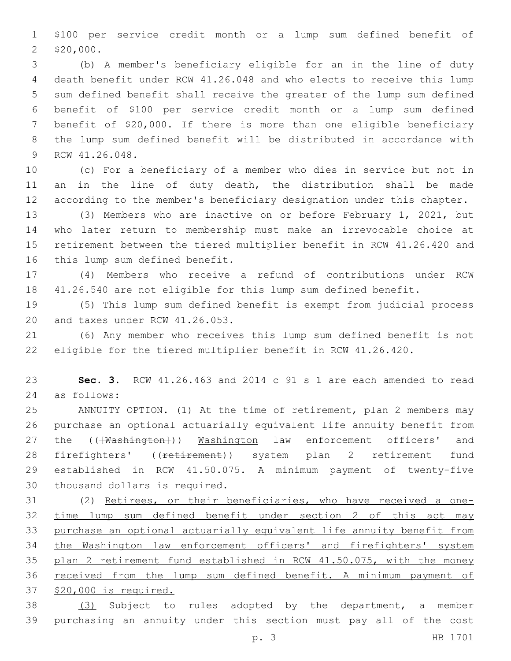\$100 per service credit month or a lump sum defined benefit of \$20,000.

 (b) A member's beneficiary eligible for an in the line of duty death benefit under RCW 41.26.048 and who elects to receive this lump sum defined benefit shall receive the greater of the lump sum defined benefit of \$100 per service credit month or a lump sum defined benefit of \$20,000. If there is more than one eligible beneficiary the lump sum defined benefit will be distributed in accordance with 9 RCW 41.26.048.

 (c) For a beneficiary of a member who dies in service but not in 11 an in the line of duty death, the distribution shall be made according to the member's beneficiary designation under this chapter.

 (3) Members who are inactive on or before February 1, 2021, but who later return to membership must make an irrevocable choice at retirement between the tiered multiplier benefit in RCW 41.26.420 and 16 this lump sum defined benefit.

 (4) Members who receive a refund of contributions under RCW 41.26.540 are not eligible for this lump sum defined benefit.

 (5) This lump sum defined benefit is exempt from judicial process 20 and taxes under RCW 41.26.053.

 (6) Any member who receives this lump sum defined benefit is not eligible for the tiered multiplier benefit in RCW 41.26.420.

 **Sec. 3.** RCW 41.26.463 and 2014 c 91 s 1 are each amended to read 24 as follows:

 ANNUITY OPTION. (1) At the time of retirement, plan 2 members may purchase an optional actuarially equivalent life annuity benefit from 27 the (( $\overline{\text{Washington}}}$ )) Washington law enforcement officers' and 28 firefighters' ((retirement)) system plan 2 retirement fund established in RCW 41.50.075. A minimum payment of twenty-five 30 thousand dollars is required.

 (2) Retirees, or their beneficiaries, who have received a one- time lump sum defined benefit under section 2 of this act may purchase an optional actuarially equivalent life annuity benefit from the Washington law enforcement officers' and firefighters' system 35 plan 2 retirement fund established in RCW 41.50.075, with the money received from the lump sum defined benefit. A minimum payment of \$20,000 is required.

 (3) Subject to rules adopted by the department, a member purchasing an annuity under this section must pay all of the cost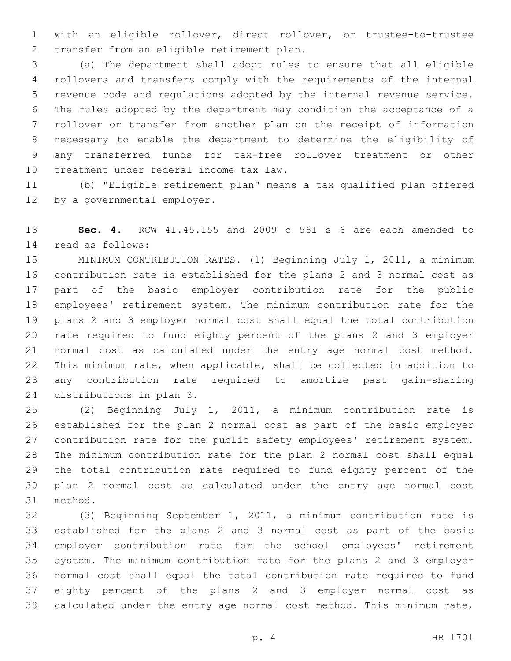with an eligible rollover, direct rollover, or trustee-to-trustee 2 transfer from an eligible retirement plan.

 (a) The department shall adopt rules to ensure that all eligible rollovers and transfers comply with the requirements of the internal revenue code and regulations adopted by the internal revenue service. The rules adopted by the department may condition the acceptance of a rollover or transfer from another plan on the receipt of information necessary to enable the department to determine the eligibility of any transferred funds for tax-free rollover treatment or other 10 treatment under federal income tax law.

 (b) "Eligible retirement plan" means a tax qualified plan offered 12 by a governmental employer.

 **Sec. 4.** RCW 41.45.155 and 2009 c 561 s 6 are each amended to read as follows:14

 MINIMUM CONTRIBUTION RATES. (1) Beginning July 1, 2011, a minimum contribution rate is established for the plans 2 and 3 normal cost as part of the basic employer contribution rate for the public employees' retirement system. The minimum contribution rate for the plans 2 and 3 employer normal cost shall equal the total contribution rate required to fund eighty percent of the plans 2 and 3 employer normal cost as calculated under the entry age normal cost method. This minimum rate, when applicable, shall be collected in addition to any contribution rate required to amortize past gain-sharing 24 distributions in plan 3.

 (2) Beginning July 1, 2011, a minimum contribution rate is established for the plan 2 normal cost as part of the basic employer contribution rate for the public safety employees' retirement system. The minimum contribution rate for the plan 2 normal cost shall equal the total contribution rate required to fund eighty percent of the plan 2 normal cost as calculated under the entry age normal cost 31 method.

 (3) Beginning September 1, 2011, a minimum contribution rate is established for the plans 2 and 3 normal cost as part of the basic employer contribution rate for the school employees' retirement system. The minimum contribution rate for the plans 2 and 3 employer normal cost shall equal the total contribution rate required to fund eighty percent of the plans 2 and 3 employer normal cost as calculated under the entry age normal cost method. This minimum rate,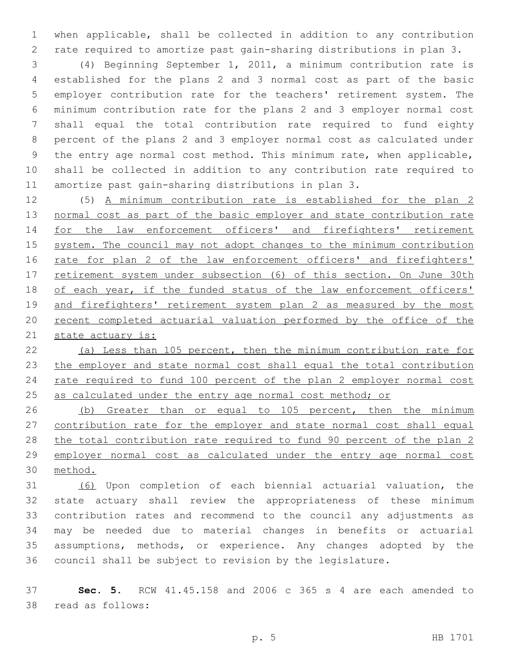when applicable, shall be collected in addition to any contribution rate required to amortize past gain-sharing distributions in plan 3.

 (4) Beginning September 1, 2011, a minimum contribution rate is established for the plans 2 and 3 normal cost as part of the basic employer contribution rate for the teachers' retirement system. The minimum contribution rate for the plans 2 and 3 employer normal cost shall equal the total contribution rate required to fund eighty percent of the plans 2 and 3 employer normal cost as calculated under the entry age normal cost method. This minimum rate, when applicable, shall be collected in addition to any contribution rate required to amortize past gain-sharing distributions in plan 3.

 (5) A minimum contribution rate is established for the plan 2 normal cost as part of the basic employer and state contribution rate for the law enforcement officers' and firefighters' retirement 15 system. The council may not adopt changes to the minimum contribution 16 rate for plan 2 of the law enforcement officers' and firefighters' 17 retirement system under subsection (6) of this section. On June 30th 18 of each year, if the funded status of the law enforcement officers' 19 and firefighters' retirement system plan 2 as measured by the most recent completed actuarial valuation performed by the office of the 21 state actuary is:

 (a) Less than 105 percent, then the minimum contribution rate for 23 the employer and state normal cost shall equal the total contribution rate required to fund 100 percent of the plan 2 employer normal cost 25 as calculated under the entry age normal cost method; or

 (b) Greater than or equal to 105 percent, then the minimum contribution rate for the employer and state normal cost shall equal the total contribution rate required to fund 90 percent of the plan 2 employer normal cost as calculated under the entry age normal cost method.

 (6) Upon completion of each biennial actuarial valuation, the state actuary shall review the appropriateness of these minimum contribution rates and recommend to the council any adjustments as may be needed due to material changes in benefits or actuarial assumptions, methods, or experience. Any changes adopted by the council shall be subject to revision by the legislature.

 **Sec. 5.** RCW 41.45.158 and 2006 c 365 s 4 are each amended to 38 read as follows: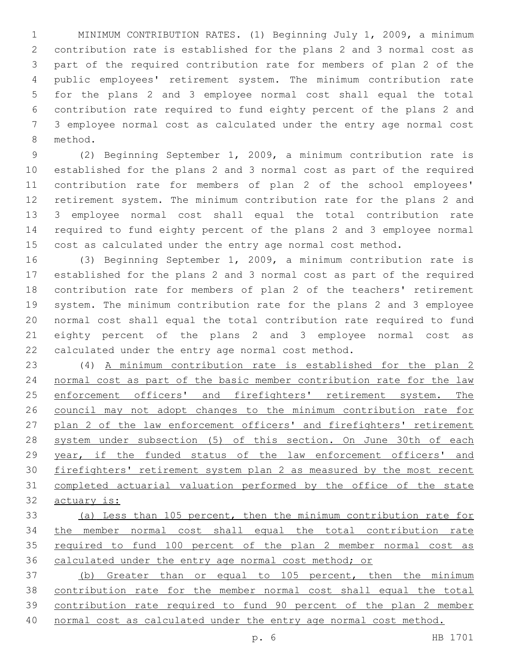MINIMUM CONTRIBUTION RATES. (1) Beginning July 1, 2009, a minimum contribution rate is established for the plans 2 and 3 normal cost as part of the required contribution rate for members of plan 2 of the public employees' retirement system. The minimum contribution rate for the plans 2 and 3 employee normal cost shall equal the total contribution rate required to fund eighty percent of the plans 2 and 3 employee normal cost as calculated under the entry age normal cost 8 method.

 (2) Beginning September 1, 2009, a minimum contribution rate is established for the plans 2 and 3 normal cost as part of the required contribution rate for members of plan 2 of the school employees' retirement system. The minimum contribution rate for the plans 2 and 3 employee normal cost shall equal the total contribution rate required to fund eighty percent of the plans 2 and 3 employee normal cost as calculated under the entry age normal cost method.

 (3) Beginning September 1, 2009, a minimum contribution rate is established for the plans 2 and 3 normal cost as part of the required contribution rate for members of plan 2 of the teachers' retirement system. The minimum contribution rate for the plans 2 and 3 employee normal cost shall equal the total contribution rate required to fund eighty percent of the plans 2 and 3 employee normal cost as calculated under the entry age normal cost method.

 (4) A minimum contribution rate is established for the plan 2 normal cost as part of the basic member contribution rate for the law 25 enforcement officers' and firefighters' retirement system. The council may not adopt changes to the minimum contribution rate for plan 2 of the law enforcement officers' and firefighters' retirement 28 system under subsection (5) of this section. On June 30th of each 29 year, if the funded status of the law enforcement officers' and firefighters' retirement system plan 2 as measured by the most recent completed actuarial valuation performed by the office of the state actuary is:

 (a) Less than 105 percent, then the minimum contribution rate for the member normal cost shall equal the total contribution rate required to fund 100 percent of the plan 2 member normal cost as calculated under the entry age normal cost method; or

 (b) Greater than or equal to 105 percent, then the minimum contribution rate for the member normal cost shall equal the total contribution rate required to fund 90 percent of the plan 2 member normal cost as calculated under the entry age normal cost method.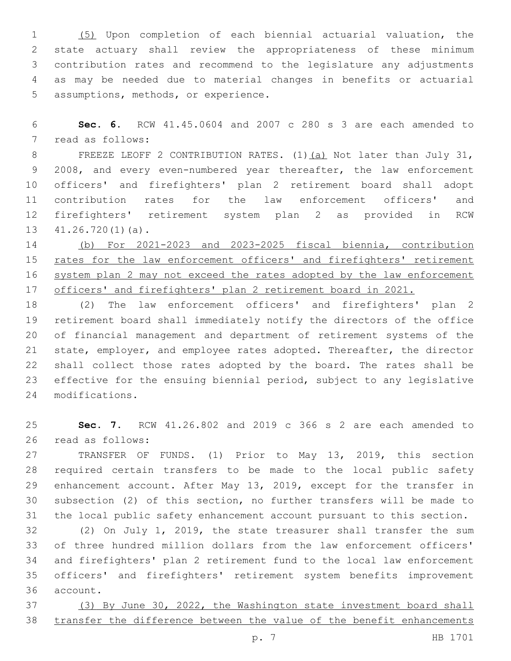(5) Upon completion of each biennial actuarial valuation, the state actuary shall review the appropriateness of these minimum contribution rates and recommend to the legislature any adjustments as may be needed due to material changes in benefits or actuarial 5 assumptions, methods, or experience.

 **Sec. 6.** RCW 41.45.0604 and 2007 c 280 s 3 are each amended to 7 read as follows:

8 FREEZE LEOFF 2 CONTRIBUTION RATES. (1) (a) Not later than July 31, 9 2008, and every even-numbered year thereafter, the law enforcement officers' and firefighters' plan 2 retirement board shall adopt contribution rates for the law enforcement officers' and firefighters' retirement system plan 2 as provided in RCW  $41.26.720(1)(a)$ .

 (b) For 2021-2023 and 2023-2025 fiscal biennia, contribution 15 rates for the law enforcement officers' and firefighters' retirement 16 system plan 2 may not exceed the rates adopted by the law enforcement officers' and firefighters' plan 2 retirement board in 2021.

 (2) The law enforcement officers' and firefighters' plan 2 retirement board shall immediately notify the directors of the office of financial management and department of retirement systems of the state, employer, and employee rates adopted. Thereafter, the director shall collect those rates adopted by the board. The rates shall be effective for the ensuing biennial period, subject to any legislative modifications.24

 **Sec. 7.** RCW 41.26.802 and 2019 c 366 s 2 are each amended to 26 read as follows:

 TRANSFER OF FUNDS. (1) Prior to May 13, 2019, this section required certain transfers to be made to the local public safety enhancement account. After May 13, 2019, except for the transfer in subsection (2) of this section, no further transfers will be made to the local public safety enhancement account pursuant to this section.

 (2) On July 1, 2019, the state treasurer shall transfer the sum of three hundred million dollars from the law enforcement officers' and firefighters' plan 2 retirement fund to the local law enforcement officers' and firefighters' retirement system benefits improvement 36 account.

 (3) By June 30, 2022, the Washington state investment board shall 38 transfer the difference between the value of the benefit enhancements